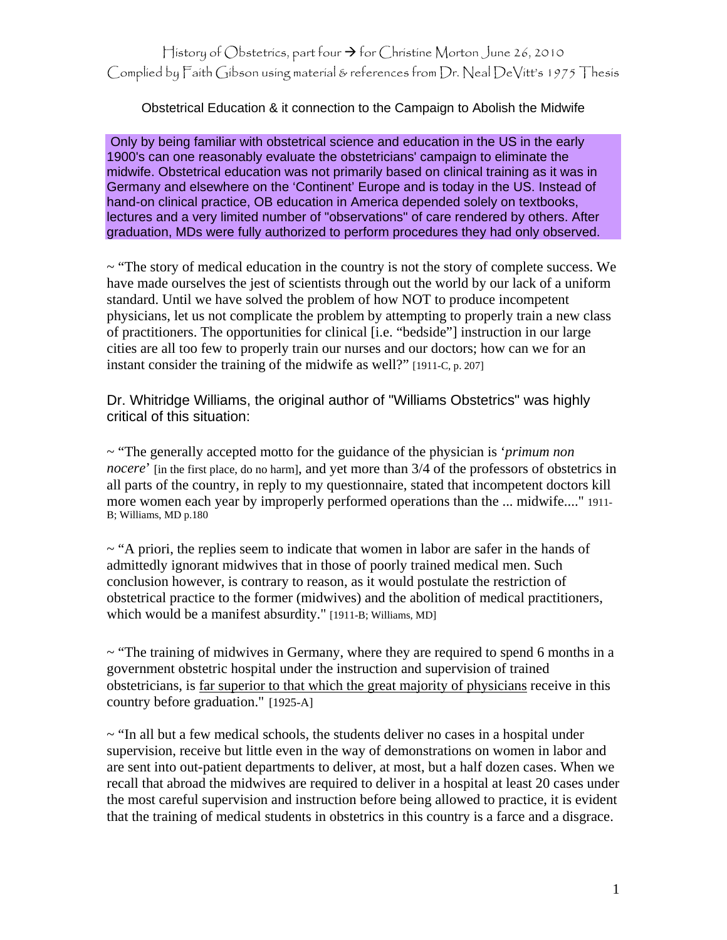Obstetrical Education & it connection to the Campaign to Abolish the Midwife

 Only by being familiar with obstetrical science and education in the US in the early 1900's can one reasonably evaluate the obstetricians' campaign to eliminate the midwife. Obstetrical education was not primarily based on clinical training as it was in Germany and elsewhere on the 'Continent' Europe and is today in the US. Instead of hand-on clinical practice, OB education in America depended solely on textbooks, lectures and a very limited number of "observations" of care rendered by others. After graduation, MDs were fully authorized to perform procedures they had only observed.

~ "The story of medical education in the country is not the story of complete success. We have made ourselves the jest of scientists through out the world by our lack of a uniform standard. Until we have solved the problem of how NOT to produce incompetent physicians, let us not complicate the problem by attempting to properly train a new class of practitioners. The opportunities for clinical [i.e. "bedside"] instruction in our large cities are all too few to properly train our nurses and our doctors; how can we for an instant consider the training of the midwife as well?" [1911-C, p. 207]

Dr. Whitridge Williams, the original author of "Williams Obstetrics" was highly critical of this situation:

~ "The generally accepted motto for the guidance of the physician is '*primum non nocere*' [in the first place, do no harm], and yet more than 3/4 of the professors of obstetrics in all parts of the country, in reply to my questionnaire, stated that incompetent doctors kill more women each year by improperly performed operations than the ... midwife...." 1911- B; Williams, MD p.180

 $\sim$  "A priori, the replies seem to indicate that women in labor are safer in the hands of admittedly ignorant midwives that in those of poorly trained medical men. Such conclusion however, is contrary to reason, as it would postulate the restriction of obstetrical practice to the former (midwives) and the abolition of medical practitioners, which would be a manifest absurdity." [1911-B; Williams, MD]

~ "The training of midwives in Germany, where they are required to spend 6 months in a government obstetric hospital under the instruction and supervision of trained obstetricians, is far superior to that which the great majority of physicians receive in this country before graduation." [1925-A]

 $\sim$  "In all but a few medical schools, the students deliver no cases in a hospital under supervision, receive but little even in the way of demonstrations on women in labor and are sent into out-patient departments to deliver, at most, but a half dozen cases. When we recall that abroad the midwives are required to deliver in a hospital at least 20 cases under the most careful supervision and instruction before being allowed to practice, it is evident that the training of medical students in obstetrics in this country is a farce and a disgrace.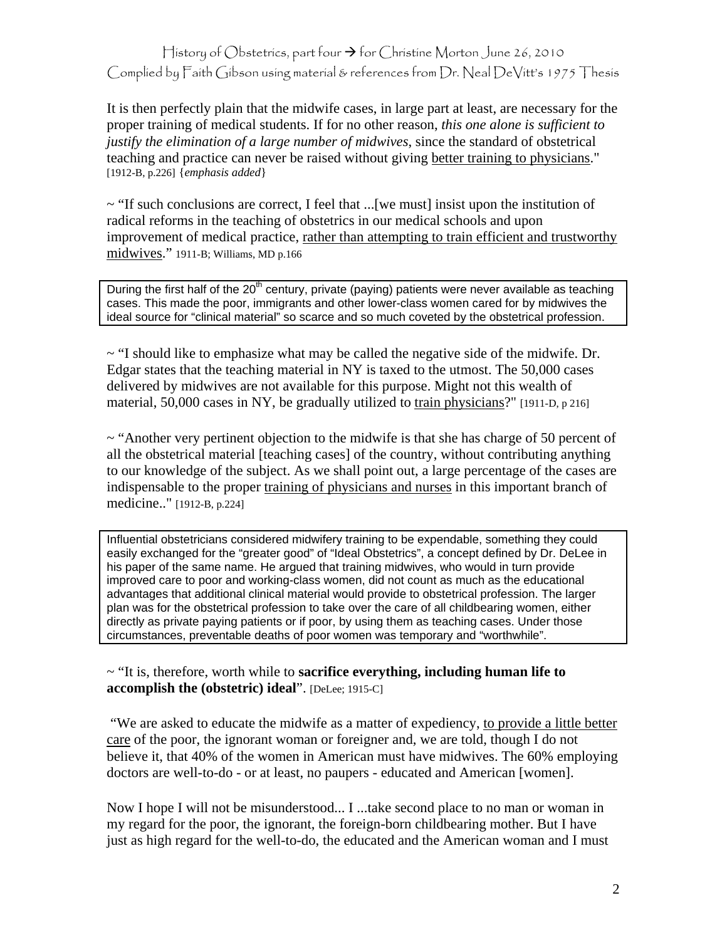## History of Obstetrics, part four  $\rightarrow$  for Christine Morton June 26, 2010 Complied by Faith Gibson using material & references from Dr. Neal DeVitt's 1975 Thesis

It is then perfectly plain that the midwife cases, in large part at least, are necessary for the proper training of medical students. If for no other reason, *this one alone is sufficient to justify the elimination of a large number of midwives*, since the standard of obstetrical teaching and practice can never be raised without giving better training to physicians." [1912-B, p.226] {*emphasis added*}

 $\sim$  "If such conclusions are correct, I feel that ...[we must] insist upon the institution of radical reforms in the teaching of obstetrics in our medical schools and upon improvement of medical practice, rather than attempting to train efficient and trustworthy midwives." 1911-B; Williams, MD p.166

During the first half of the  $20<sup>th</sup>$  century, private (paying) patients were never available as teaching cases. This made the poor, immigrants and other lower-class women cared for by midwives the ideal source for "clinical material" so scarce and so much coveted by the obstetrical profession.

 $\sim$  "I should like to emphasize what may be called the negative side of the midwife. Dr. Edgar states that the teaching material in NY is taxed to the utmost. The 50,000 cases delivered by midwives are not available for this purpose. Might not this wealth of material, 50,000 cases in NY, be gradually utilized to train physicians?" [1911-D, p 216]

 $\sim$  "Another very pertinent objection to the midwife is that she has charge of 50 percent of all the obstetrical material [teaching cases] of the country, without contributing anything to our knowledge of the subject. As we shall point out, a large percentage of the cases are indispensable to the proper training of physicians and nurses in this important branch of medicine.." [1912-B, p.224]

Influential obstetricians considered midwifery training to be expendable, something they could easily exchanged for the "greater good" of "Ideal Obstetrics", a concept defined by Dr. DeLee in his paper of the same name. He argued that training midwives, who would in turn provide improved care to poor and working-class women, did not count as much as the educational advantages that additional clinical material would provide to obstetrical profession. The larger plan was for the obstetrical profession to take over the care of all childbearing women, either directly as private paying patients or if poor, by using them as teaching cases. Under those circumstances, preventable deaths of poor women was temporary and "worthwhile".

## ~ "It is, therefore, worth while to **sacrifice everything, including human life to accomplish the (obstetric) ideal**". [DeLee; 1915-C]

 "We are asked to educate the midwife as a matter of expediency, to provide a little better care of the poor, the ignorant woman or foreigner and, we are told, though I do not believe it, that 40% of the women in American must have midwives. The 60% employing doctors are well-to-do - or at least, no paupers - educated and American [women].

Now I hope I will not be misunderstood... I ...take second place to no man or woman in my regard for the poor, the ignorant, the foreign-born childbearing mother. But I have just as high regard for the well-to-do, the educated and the American woman and I must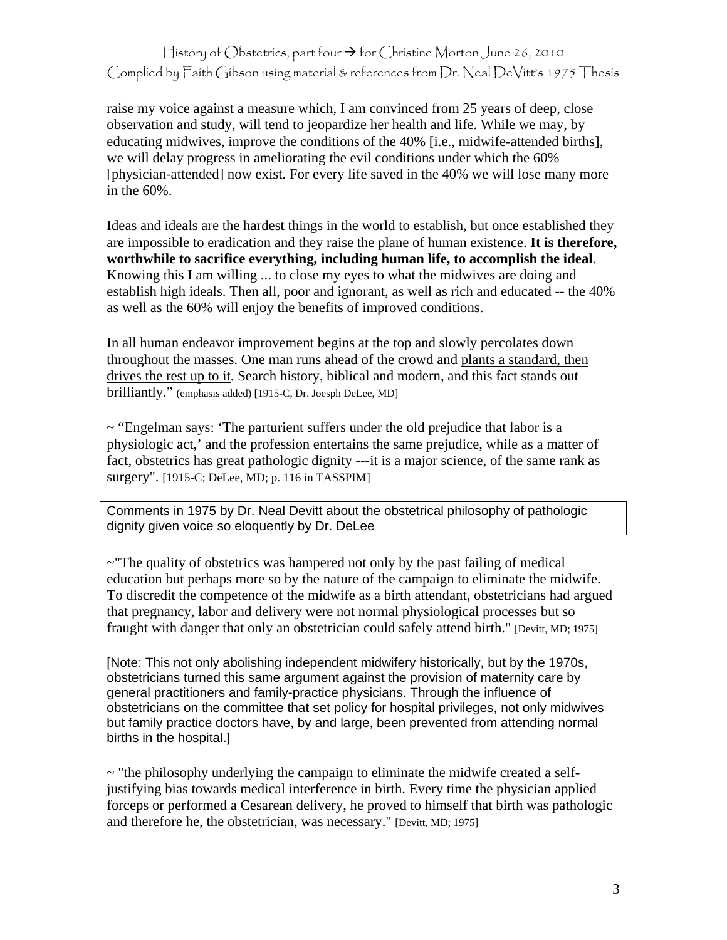## History of Obstetrics, part four  $\rightarrow$  for Christine Morton June 26, 2010 Complied by Faith Gibson using material & references from Dr. Neal DeVitt's 1975 Thesis

raise my voice against a measure which, I am convinced from 25 years of deep, close observation and study, will tend to jeopardize her health and life. While we may, by educating midwives, improve the conditions of the 40% [i.e., midwife-attended births], we will delay progress in ameliorating the evil conditions under which the 60% [physician-attended] now exist. For every life saved in the 40% we will lose many more in the 60%.

Ideas and ideals are the hardest things in the world to establish, but once established they are impossible to eradication and they raise the plane of human existence. **It is therefore, worthwhile to sacrifice everything, including human life, to accomplish the ideal**. Knowing this I am willing ... to close my eyes to what the midwives are doing and establish high ideals. Then all, poor and ignorant, as well as rich and educated -- the 40% as well as the 60% will enjoy the benefits of improved conditions.

In all human endeavor improvement begins at the top and slowly percolates down throughout the masses. One man runs ahead of the crowd and plants a standard, then drives the rest up to it. Search history, biblical and modern, and this fact stands out brilliantly." (emphasis added) [1915-C, Dr. Joesph DeLee, MD]

~ "Engelman says: 'The parturient suffers under the old prejudice that labor is a physiologic act,' and the profession entertains the same prejudice, while as a matter of fact, obstetrics has great pathologic dignity ---it is a major science, of the same rank as surgery". [1915-C; DeLee, MD; p. 116 in TASSPIM]

Comments in 1975 by Dr. Neal Devitt about the obstetrical philosophy of pathologic dignity given voice so eloquently by Dr. DeLee

~"The quality of obstetrics was hampered not only by the past failing of medical education but perhaps more so by the nature of the campaign to eliminate the midwife. To discredit the competence of the midwife as a birth attendant, obstetricians had argued that pregnancy, labor and delivery were not normal physiological processes but so fraught with danger that only an obstetrician could safely attend birth." [Devitt, MD; 1975]

[Note: This not only abolishing independent midwifery historically, but by the 1970s, obstetricians turned this same argument against the provision of maternity care by general practitioners and family-practice physicians. Through the influence of obstetricians on the committee that set policy for hospital privileges, not only midwives but family practice doctors have, by and large, been prevented from attending normal births in the hospital.]

 $\sim$  "the philosophy underlying the campaign to eliminate the midwife created a selfjustifying bias towards medical interference in birth. Every time the physician applied forceps or performed a Cesarean delivery, he proved to himself that birth was pathologic and therefore he, the obstetrician, was necessary." [Devitt, MD; 1975]